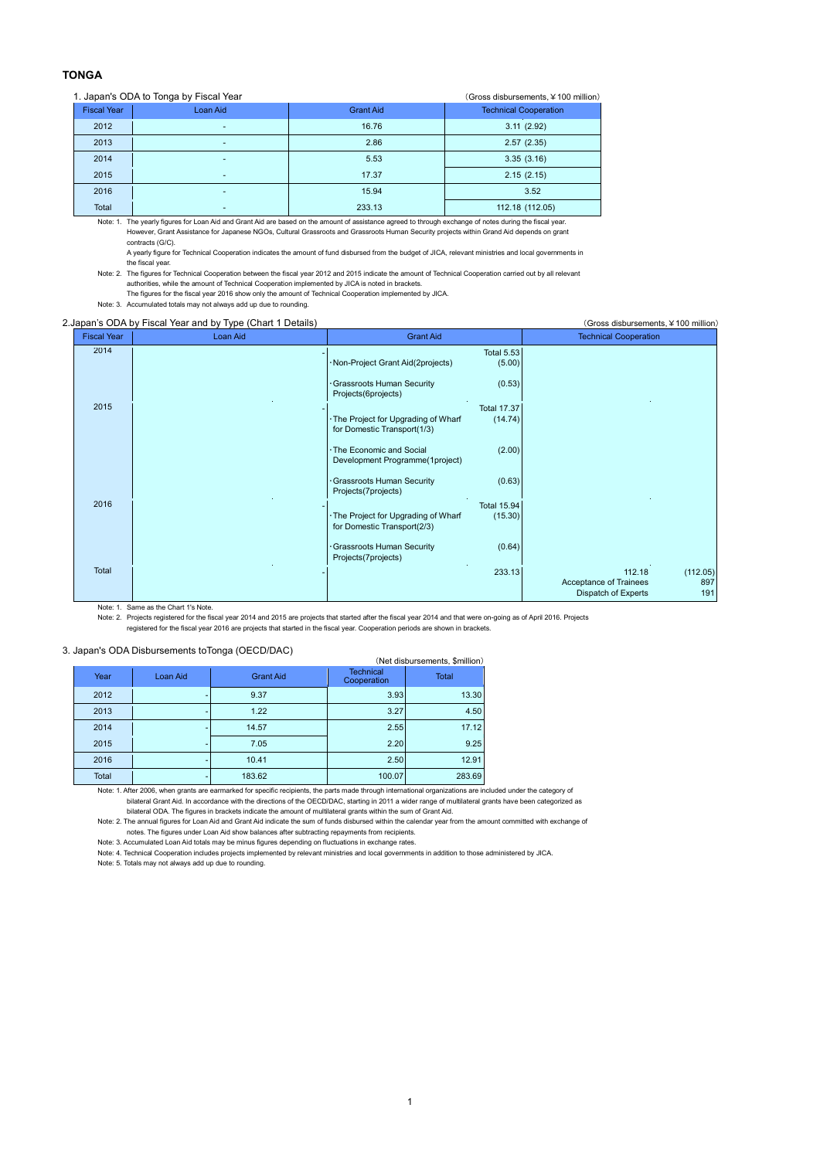## **TONGA**

## 1. Japan's ODA to Tonga by Fiscal Year (Gross disbursements, ¥100 million)

| $\sim$ . Japan's ODA to Tonga by Fiscal Team<br>$\sqrt{9}$ roused as a serificities, $\pm$ 100 million $\sqrt{2}$ |                    |                          |                  |                              |  |  |  |
|-------------------------------------------------------------------------------------------------------------------|--------------------|--------------------------|------------------|------------------------------|--|--|--|
|                                                                                                                   | <b>Fiscal Year</b> | Loan Aid                 | <b>Grant Aid</b> | <b>Technical Cooperation</b> |  |  |  |
|                                                                                                                   | 2012               | ۰                        | 16.76            | 3.11(2.92)                   |  |  |  |
|                                                                                                                   | 2013               | -                        | 2.86             | 2.57(2.35)                   |  |  |  |
|                                                                                                                   | 2014               | -                        | 5.53             | 3.35(3.16)                   |  |  |  |
|                                                                                                                   | 2015               | $\overline{\phantom{a}}$ | 17.37            | 2.15(2.15)                   |  |  |  |
|                                                                                                                   | 2016               | ۰                        | 15.94            | 3.52                         |  |  |  |
|                                                                                                                   | Total              | -                        | 233.13           | 112.18 (112.05)              |  |  |  |
|                                                                                                                   |                    |                          |                  |                              |  |  |  |

Note: 1. The yearly figures for Loan Aid and Grant Aid are based on the amount of assistance agreed to through exchange of notes during the fiscal year. However, Grant Assistance for Japanese NGOs, Cultural Grassroots and Grassroots Human Security projects within Grand Aid depends on grant contracts (G/C).

A yearly figure for Technical Cooperation indicates the amount of fund disbursed from the budget of JICA, relevant ministries and local governments in the fiscal year.

Note: 2. The figures for Technical Cooperation between the fiscal year 2012 and 2015 indicate the amount of Technical Cooperation carried out by all relevant authorities, while the amount of Technical Cooperation implemented by JICA is noted in brackets.

The figures for the fiscal year 2016 show only the amount of Technical Cooperation implemented by JICA.

Note: 3. Accumulated totals may not always add up due to rounding.

## 2.Japan's ODA by Fiscal Year and by Type (Chart 1 Details) (Gross disbursements,¥100 million)

| <b>Fiscal Year</b> | Loan Aid | <b>Grant Aid</b>                                                                                   | <b>Technical Cooperation</b>                                                      |
|--------------------|----------|----------------------------------------------------------------------------------------------------|-----------------------------------------------------------------------------------|
| 2014               |          | <b>Total 5.53</b><br>·Non-Project Grant Aid(2projects)<br>(5.00)                                   |                                                                                   |
|                    |          | (0.53)<br>Grassroots Human Security<br>Projects(6projects)                                         |                                                                                   |
| 2015               |          | <b>Total 17.37</b><br>(14.74)<br>The Project for Upgrading of Wharf<br>for Domestic Transport(1/3) |                                                                                   |
|                    |          | (2.00)<br>The Economic and Social<br>Development Programme(1project)                               |                                                                                   |
|                    |          | (0.63)<br>Grassroots Human Security<br>Projects(7projects)                                         |                                                                                   |
| 2016               |          | <b>Total 15.94</b><br>(15.30)<br>The Project for Upgrading of Wharf<br>for Domestic Transport(2/3) |                                                                                   |
|                    |          | (0.64)<br>Grassroots Human Security<br>Projects(7projects)                                         |                                                                                   |
| Total              |          | 233.13                                                                                             | 112.18<br>(112.05)<br>Acceptance of Trainees<br>897<br>Dispatch of Experts<br>191 |

Note: 1. Same as the Chart 1's Note.

Note: 2. Projects registered for the fiscal year 2014 and 2015 are projects that started after the fiscal year 2014 and that were on-going as of April 2016. Projects

registered for the fiscal year 2016 are projects that started in the fiscal year. Cooperation periods are shown in brackets.

## 3. Japan's ODA Disbursements toTonga (OECD/DAC)

| (Net disbursements, \$million) |          |                  |                                 |              |  |  |  |  |
|--------------------------------|----------|------------------|---------------------------------|--------------|--|--|--|--|
| Year                           | Loan Aid | <b>Grant Aid</b> | <b>Technical</b><br>Cooperation | <b>Total</b> |  |  |  |  |
| 2012                           |          | 9.37             | 3.93                            | 13.30        |  |  |  |  |
| 2013                           |          | 1.22             | 3.27                            | 4.50         |  |  |  |  |
| 2014                           |          | 14.57            | 2.55                            | 17.12        |  |  |  |  |
| 2015                           |          | 7.05             | 2.20                            | 9.25         |  |  |  |  |
| 2016                           |          | 10.41            | 2.50                            | 12.91        |  |  |  |  |
| Total                          |          | 183.62           | 100.07                          | 283.69       |  |  |  |  |

Note: 1. After 2006, when grants are earmarked for specific recipients, the parts made through international organizations are included under the category of

bilateral Grant Aid. In accordance with the directions of the OECD/DAC, starting in 2011 a wider range of multilateral grants have been categorized as bilateral ODA. The figures in brackets indicate the amount of multilateral grants within the sum of Grant Aid.

Note: 2. The annual figures for Loan Aid and Grant Aid indicate the sum of funds disbursed within the calendar year from the amount committed with exchange of

notes. The figures under Loan Aid show balances after subtracting repayments from recipients. Note: 3. Accumulated Loan Aid totals may be minus figures depending on fluctuations in exchange rates.

Note: 4. Technical Cooperation includes projects implemented by relevant ministries and local governments in addition to those administered by JICA.

Note: 5. Totals may not always add up due to rounding.